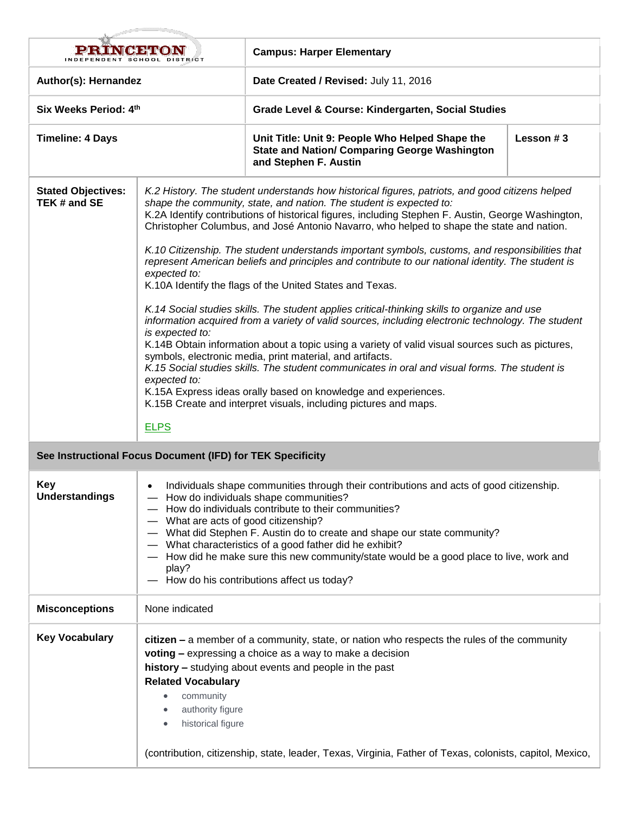| i di 54 o vich 34 no).                                     |                                                                                                                                                                                                                                                                                                                                                                                                                                                                                                                                                                                                                                                                                                                                                                                                                                                                                                                                                                                                                                                                                                                                                                                                                                                                                                                               | <b>Campus: Harper Elementary</b>                                                                                                                                                                                                                                                                                              |             |  |
|------------------------------------------------------------|-------------------------------------------------------------------------------------------------------------------------------------------------------------------------------------------------------------------------------------------------------------------------------------------------------------------------------------------------------------------------------------------------------------------------------------------------------------------------------------------------------------------------------------------------------------------------------------------------------------------------------------------------------------------------------------------------------------------------------------------------------------------------------------------------------------------------------------------------------------------------------------------------------------------------------------------------------------------------------------------------------------------------------------------------------------------------------------------------------------------------------------------------------------------------------------------------------------------------------------------------------------------------------------------------------------------------------|-------------------------------------------------------------------------------------------------------------------------------------------------------------------------------------------------------------------------------------------------------------------------------------------------------------------------------|-------------|--|
| Author(s): Hernandez                                       |                                                                                                                                                                                                                                                                                                                                                                                                                                                                                                                                                                                                                                                                                                                                                                                                                                                                                                                                                                                                                                                                                                                                                                                                                                                                                                                               | Date Created / Revised: July 11, 2016                                                                                                                                                                                                                                                                                         |             |  |
| Six Weeks Period: 4th                                      |                                                                                                                                                                                                                                                                                                                                                                                                                                                                                                                                                                                                                                                                                                                                                                                                                                                                                                                                                                                                                                                                                                                                                                                                                                                                                                                               | Grade Level & Course: Kindergarten, Social Studies                                                                                                                                                                                                                                                                            |             |  |
| <b>Timeline: 4 Days</b>                                    |                                                                                                                                                                                                                                                                                                                                                                                                                                                                                                                                                                                                                                                                                                                                                                                                                                                                                                                                                                                                                                                                                                                                                                                                                                                                                                                               | Unit Title: Unit 9: People Who Helped Shape the<br><b>State and Nation/ Comparing George Washington</b><br>and Stephen F. Austin                                                                                                                                                                                              | Lesson $#3$ |  |
| <b>Stated Objectives:</b><br>TEK # and SE                  | K.2 History. The student understands how historical figures, patriots, and good citizens helped<br>shape the community, state, and nation. The student is expected to:<br>K.2A Identify contributions of historical figures, including Stephen F. Austin, George Washington,<br>Christopher Columbus, and José Antonio Navarro, who helped to shape the state and nation.<br>K.10 Citizenship. The student understands important symbols, customs, and responsibilities that<br>represent American beliefs and principles and contribute to our national identity. The student is<br>expected to:<br>K.10A Identify the flags of the United States and Texas.<br>K.14 Social studies skills. The student applies critical-thinking skills to organize and use<br>information acquired from a variety of valid sources, including electronic technology. The student<br>is expected to:<br>K.14B Obtain information about a topic using a variety of valid visual sources such as pictures,<br>symbols, electronic media, print material, and artifacts.<br>K.15 Social studies skills. The student communicates in oral and visual forms. The student is<br>expected to:<br>K.15A Express ideas orally based on knowledge and experiences.<br>K.15B Create and interpret visuals, including pictures and maps.<br><b>ELPS</b> |                                                                                                                                                                                                                                                                                                                               |             |  |
| See Instructional Focus Document (IFD) for TEK Specificity |                                                                                                                                                                                                                                                                                                                                                                                                                                                                                                                                                                                                                                                                                                                                                                                                                                                                                                                                                                                                                                                                                                                                                                                                                                                                                                                               |                                                                                                                                                                                                                                                                                                                               |             |  |
| <b>Key</b><br><b>Understandings</b>                        | Individuals shape communities through their contributions and acts of good citizenship.<br>How do individuals shape communities?<br>How do individuals contribute to their communities?<br>- What are acts of good citizenship?<br>- What did Stephen F. Austin do to create and shape our state community?<br>- What characteristics of a good father did he exhibit?<br>- How did he make sure this new community/state would be a good place to live, work and<br>play?<br>- How do his contributions affect us today?                                                                                                                                                                                                                                                                                                                                                                                                                                                                                                                                                                                                                                                                                                                                                                                                     |                                                                                                                                                                                                                                                                                                                               |             |  |
| <b>Misconceptions</b>                                      | None indicated                                                                                                                                                                                                                                                                                                                                                                                                                                                                                                                                                                                                                                                                                                                                                                                                                                                                                                                                                                                                                                                                                                                                                                                                                                                                                                                |                                                                                                                                                                                                                                                                                                                               |             |  |
| <b>Key Vocabulary</b>                                      | <b>Related Vocabulary</b><br>community<br>authority figure<br>historical figure                                                                                                                                                                                                                                                                                                                                                                                                                                                                                                                                                                                                                                                                                                                                                                                                                                                                                                                                                                                                                                                                                                                                                                                                                                               | citizen – a member of a community, state, or nation who respects the rules of the community<br>voting - expressing a choice as a way to make a decision<br>history - studying about events and people in the past<br>(contribution, citizenship, state, leader, Texas, Virginia, Father of Texas, colonists, capitol, Mexico, |             |  |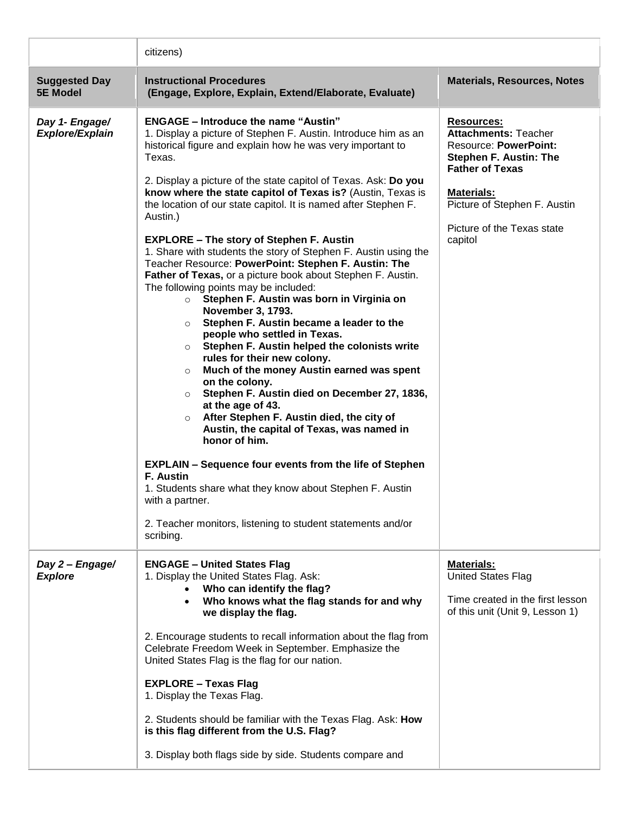|                                         | citizens)                                                                                                                                                                                                                                                                                                                                                                                                                                                                                                                                                                                                                                                                                                                                                                                                                                                                                                                                                                                                                                                                                                                                                                                                                                                                                                                                                                                                                                                                             |                                                                                                                                                                                                                                           |  |
|-----------------------------------------|---------------------------------------------------------------------------------------------------------------------------------------------------------------------------------------------------------------------------------------------------------------------------------------------------------------------------------------------------------------------------------------------------------------------------------------------------------------------------------------------------------------------------------------------------------------------------------------------------------------------------------------------------------------------------------------------------------------------------------------------------------------------------------------------------------------------------------------------------------------------------------------------------------------------------------------------------------------------------------------------------------------------------------------------------------------------------------------------------------------------------------------------------------------------------------------------------------------------------------------------------------------------------------------------------------------------------------------------------------------------------------------------------------------------------------------------------------------------------------------|-------------------------------------------------------------------------------------------------------------------------------------------------------------------------------------------------------------------------------------------|--|
| <b>Suggested Day</b><br><b>5E Model</b> | <b>Instructional Procedures</b><br>(Engage, Explore, Explain, Extend/Elaborate, Evaluate)                                                                                                                                                                                                                                                                                                                                                                                                                                                                                                                                                                                                                                                                                                                                                                                                                                                                                                                                                                                                                                                                                                                                                                                                                                                                                                                                                                                             | <b>Materials, Resources, Notes</b>                                                                                                                                                                                                        |  |
| Day 1- Engage/<br>Explore/Explain       | <b>ENGAGE - Introduce the name "Austin"</b><br>1. Display a picture of Stephen F. Austin. Introduce him as an<br>historical figure and explain how he was very important to<br>Texas.<br>2. Display a picture of the state capitol of Texas. Ask: Do you<br>know where the state capitol of Texas is? (Austin, Texas is<br>the location of our state capitol. It is named after Stephen F.<br>Austin.)<br><b>EXPLORE - The story of Stephen F. Austin</b><br>1. Share with students the story of Stephen F. Austin using the<br>Teacher Resource: PowerPoint: Stephen F. Austin: The<br>Father of Texas, or a picture book about Stephen F. Austin.<br>The following points may be included:<br>Stephen F. Austin was born in Virginia on<br>$\circ$<br>November 3, 1793.<br>Stephen F. Austin became a leader to the<br>$\circ$<br>people who settled in Texas.<br>Stephen F. Austin helped the colonists write<br>$\circ$<br>rules for their new colony.<br>Much of the money Austin earned was spent<br>$\circ$<br>on the colony.<br>Stephen F. Austin died on December 27, 1836,<br>$\circ$<br>at the age of 43.<br>After Stephen F. Austin died, the city of<br>$\circ$<br>Austin, the capital of Texas, was named in<br>honor of him.<br><b>EXPLAIN - Sequence four events from the life of Stephen</b><br>F. Austin<br>1. Students share what they know about Stephen F. Austin<br>with a partner.<br>2. Teacher monitors, listening to student statements and/or<br>scribing. | <b>Resources:</b><br><b>Attachments: Teacher</b><br><b>Resource: PowerPoint:</b><br><b>Stephen F. Austin: The</b><br><b>Father of Texas</b><br><b>Materials:</b><br>Picture of Stephen F. Austin<br>Picture of the Texas state<br>capitol |  |
| Day 2 - Engage/<br><b>Explore</b>       | <b>ENGAGE - United States Flag</b><br>1. Display the United States Flag. Ask:<br>Who can identify the flag?<br>Who knows what the flag stands for and why<br>$\bullet$<br>we display the flag.<br>2. Encourage students to recall information about the flag from<br>Celebrate Freedom Week in September. Emphasize the<br>United States Flag is the flag for our nation.<br><b>EXPLORE - Texas Flag</b><br>1. Display the Texas Flag.<br>2. Students should be familiar with the Texas Flag. Ask: How<br>is this flag different from the U.S. Flag?<br>3. Display both flags side by side. Students compare and                                                                                                                                                                                                                                                                                                                                                                                                                                                                                                                                                                                                                                                                                                                                                                                                                                                                      | <b>Materials:</b><br><b>United States Flag</b><br>Time created in the first lesson<br>of this unit (Unit 9, Lesson 1)                                                                                                                     |  |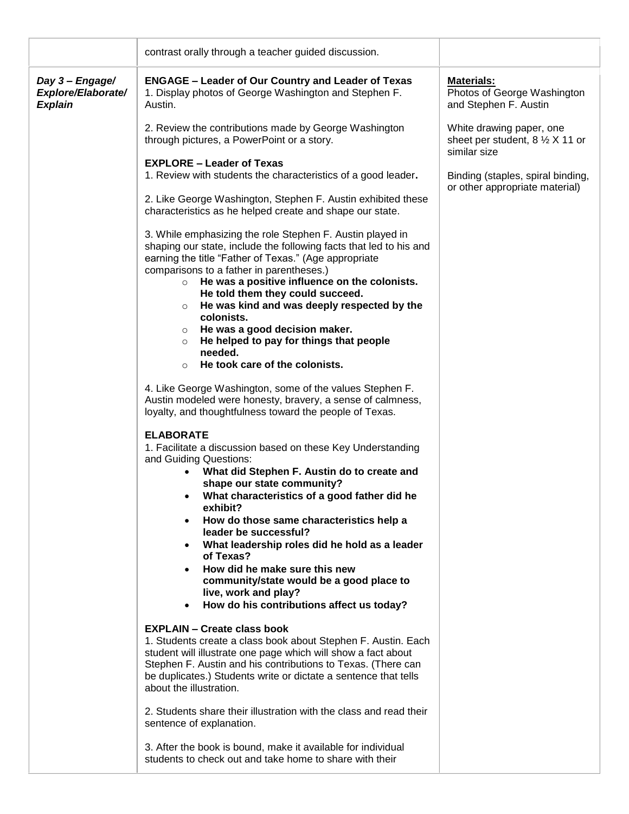|                                                         | contrast orally through a teacher guided discussion.                                                                                                                                        |                                                                                        |
|---------------------------------------------------------|---------------------------------------------------------------------------------------------------------------------------------------------------------------------------------------------|----------------------------------------------------------------------------------------|
| Day 3 - Engage/<br>Explore/Elaborate/<br><b>Explain</b> | <b>ENGAGE - Leader of Our Country and Leader of Texas</b><br>1. Display photos of George Washington and Stephen F.<br>Austin.                                                               | <b>Materials:</b><br>Photos of George Washington<br>and Stephen F. Austin              |
|                                                         | 2. Review the contributions made by George Washington<br>through pictures, a PowerPoint or a story.                                                                                         | White drawing paper, one<br>sheet per student, $8 \frac{1}{2}$ X 11 or<br>similar size |
|                                                         | <b>EXPLORE – Leader of Texas</b><br>1. Review with students the characteristics of a good leader.<br>2. Like George Washington, Stephen F. Austin exhibited these                           | Binding (staples, spiral binding,<br>or other appropriate material)                    |
|                                                         | characteristics as he helped create and shape our state.<br>3. While emphasizing the role Stephen F. Austin played in<br>shaping our state, include the following facts that led to his and |                                                                                        |
|                                                         | earning the title "Father of Texas." (Age appropriate<br>comparisons to a father in parentheses.)<br>He was a positive influence on the colonists.<br>$\circ$                               |                                                                                        |
|                                                         | He told them they could succeed.<br>He was kind and was deeply respected by the<br>$\circ$<br>colonists.<br>He was a good decision maker.<br>$\circ$                                        |                                                                                        |
|                                                         | He helped to pay for things that people<br>$\circ$<br>needed.<br>He took care of the colonists.<br>$\circ$                                                                                  |                                                                                        |
|                                                         | 4. Like George Washington, some of the values Stephen F.<br>Austin modeled were honesty, bravery, a sense of calmness,<br>loyalty, and thoughtfulness toward the people of Texas.           |                                                                                        |
|                                                         | <b>ELABORATE</b><br>1. Facilitate a discussion based on these Key Understanding<br>and Guiding Questions:<br>What did Stephen F. Austin do to create and                                    |                                                                                        |
|                                                         | shape our state community?<br>What characteristics of a good father did he<br>exhibit?<br>How do those same characteristics help a                                                          |                                                                                        |
|                                                         | leader be successful?<br>What leadership roles did he hold as a leader<br>of Texas?                                                                                                         |                                                                                        |
|                                                         | How did he make sure this new<br>community/state would be a good place to<br>live, work and play?<br>How do his contributions affect us today?<br>$\bullet$                                 |                                                                                        |
|                                                         | <b>EXPLAIN - Create class book</b><br>1. Students create a class book about Stephen F. Austin. Each<br>student will illustrate one page which will show a fact about                        |                                                                                        |
|                                                         | Stephen F. Austin and his contributions to Texas. (There can<br>be duplicates.) Students write or dictate a sentence that tells<br>about the illustration.                                  |                                                                                        |
|                                                         | 2. Students share their illustration with the class and read their<br>sentence of explanation.                                                                                              |                                                                                        |
|                                                         | 3. After the book is bound, make it available for individual<br>students to check out and take home to share with their                                                                     |                                                                                        |